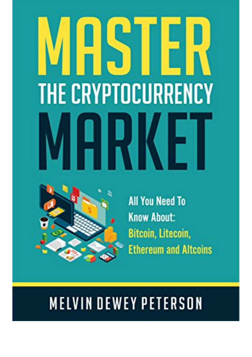## **THE CRYPTOCURRENCY** 1K



**All You Need To Know About:** Bitcoin, Litecoin, **Ethereum and Altcoins** 

## **MELVIN DEWEY PETERSON**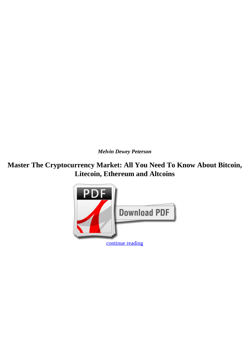*Melvin Dewey Peterson*

**Master The Cryptocurrency Market: All You Need To Know About Bitcoin, Litecoin, Ethereum and Altcoins**

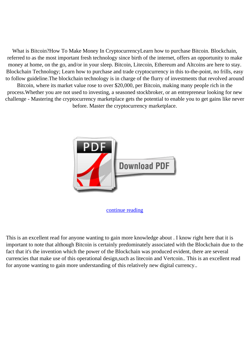What is Bitcoin?How To Make Money In CryptocurrencyLearn how to purchase Bitcoin. Blockchain, referred to as the most important fresh technology since birth of the internet, offers an opportunity to make money at home, on the go, and/or in your sleep. Bitcoin, Litecoin, Ethereum and Altcoins are here to stay. Blockchain Technology; Learn how to purchase and trade cryptocurrency in this to-the-point, no frills, easy to follow guideline.The blockchain technology is in charge of the flurry of investments that revolved around Bitcoin, where its market value rose to over \$20,000, per Bitcoin, making many people rich in the process.Whether you are not used to investing, a seasoned stockbroker, or an entrepreneur looking for new challenge - Mastering the cryptocurrency marketplace gets the potential to enable you to get gains like never before. Master the cryptocurrency marketplace.



[continue reading](http://bit.ly/2Tge8Fv)

This is an excellent read for anyone wanting to gain more knowledge about . I know right here that it is important to note that although Bitcoin is certainly predominately associated with the Blockchain due to the fact that it's the invention which the power of the Blockchain was produced evident, there are several currencies that make use of this operational design,such as litecoin and Vertcoin.. This is an excellent read for anyone wanting to gain more understanding of this relatively new digital currency..